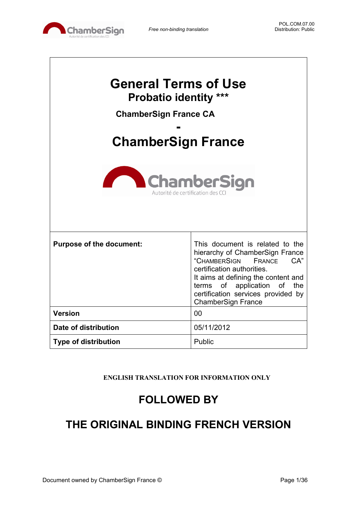

| <b>General Terms of Use</b><br><b>Probatio identity ***</b><br><b>ChamberSign France CA</b><br><b>ChamberSign France</b><br><b>ChamberSign</b><br>Autorité de certification des |                                                                                                                                                                                                                                                                            |  |  |
|---------------------------------------------------------------------------------------------------------------------------------------------------------------------------------|----------------------------------------------------------------------------------------------------------------------------------------------------------------------------------------------------------------------------------------------------------------------------|--|--|
| <b>Purpose of the document:</b>                                                                                                                                                 | This document is related to the<br>hierarchy of ChamberSign France<br>"CHAMBERSIGN<br>CA"<br>FRANCE<br>certification authorities.<br>It aims at defining the content and<br>terms of application of the<br>certification services provided by<br><b>ChamberSign France</b> |  |  |
| <b>Version</b>                                                                                                                                                                  | 00                                                                                                                                                                                                                                                                         |  |  |
| Date of distribution                                                                                                                                                            | 05/11/2012                                                                                                                                                                                                                                                                 |  |  |
| <b>Type of distribution</b>                                                                                                                                                     | Public                                                                                                                                                                                                                                                                     |  |  |

**ENGLISH TRANSLATION FOR INFORMATION ONLY**

# **FOLLOWED BY**

# **THE ORIGINAL BINDING FRENCH VERSION**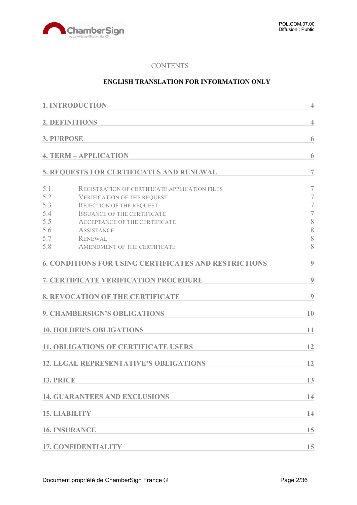

#### **CONTENTS**

### **ENGLISH TRANSLATION FOR INFORMATION ONLY**

|                   | <b>1. INTRODUCTION</b>                                       | $\overline{4}$           |
|-------------------|--------------------------------------------------------------|--------------------------|
|                   | 2. DEFINITIONS                                               | $\overline{4}$           |
| <b>3. PURPOSE</b> |                                                              | 6                        |
|                   | <b>4. TERM - APPLICATION</b>                                 | 6                        |
|                   | 5. REQUESTS FOR CERTIFICATES AND RENEWAL                     | $\overline{7}$           |
| 5.1               | <b>REGISTRATION OF CERTIFICATE APPLICATION FILES</b>         | 7                        |
| 5.2               | <b>VERIFICATION OF THE REQUEST</b>                           | $\overline{\mathcal{I}}$ |
| 5.3               | <b>REJECTION OF THE REQUEST</b>                              | $\tau$                   |
| 5.4               | <b>ISSUANCE OF THE CERTIFICATE</b>                           | $\overline{7}$           |
| 5.5               | <b>ACCEPTANCE OF THE CERTIFICATE</b>                         | $\,$ $\,$                |
| 5.6               | <b>ASSISTANCE</b>                                            | 8                        |
| 5.7               | <b>RENEWAL</b>                                               | 8                        |
| 5.8               | AMENDMENT OF THE CERTIFICATE                                 | 8                        |
|                   | <b>6. CONDITIONS FOR USING CERTIFICATES AND RESTRICTIONS</b> | 9                        |
|                   | 7. CERTIFICATE VERIFICATION PROCEDURE                        | 9                        |
|                   | <b>8. REVOCATION OF THE CERTIFICATE</b>                      | 9                        |
|                   | <b>9. CHAMBERSIGN'S OBLIGATIONS</b>                          | 10                       |
|                   | <b>10. HOLDER'S OBLIGATIONS</b>                              | 11                       |
|                   | <b>11. OBLIGATIONS OF CERTIFICATE USERS</b>                  | 12                       |
|                   | <b>12. LEGAL REPRESENTATIVE'S OBLIGATIONS</b>                | 12                       |
| 13. PRICE         |                                                              | 13                       |
|                   | <b>14. GUARANTEES AND EXCLUSIONS</b>                         | 14                       |
|                   | <b>15. LIABILITY</b>                                         | 14                       |
|                   | <b>16. INSURANCE</b>                                         | 15                       |
|                   | <b>17. CONFIDENTIALITY</b>                                   | 15                       |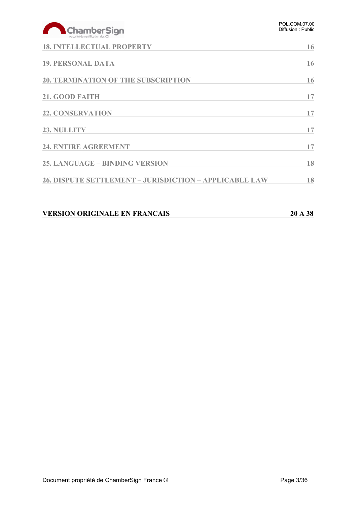# ChamberSign

| <b>18. INTELLECTUAL PROPERTY</b>                              | 16 |
|---------------------------------------------------------------|----|
| <b>19. PERSONAL DATA</b>                                      | 16 |
| <b>20. TERMINATION OF THE SUBSCRIPTION</b>                    | 16 |
| 21. GOOD FAITH                                                | 17 |
| <b>22. CONSERVATION</b>                                       | 17 |
| 23. NULLITY                                                   | 17 |
| 24. ENTIRE AGREEMENT                                          | 17 |
| <b>25. LANGUAGE – BINDING VERSION</b>                         | 18 |
| <b>26. DISPUTE SETTLEMENT - JURISDICTION - APPLICABLE LAW</b> | 18 |

# **VERSION ORIGINALE EN FRANCAIS 20 A 38**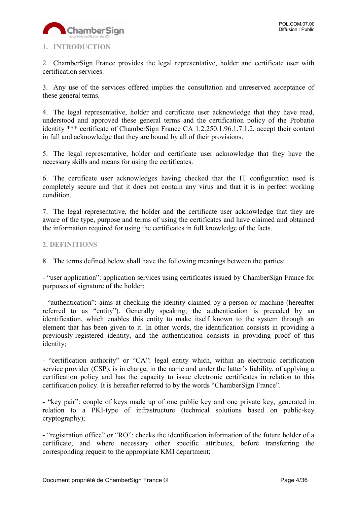

# <span id="page-3-0"></span>**1. INTRODUCTION**

2. ChamberSign France provides the legal representative, holder and certificate user with certification services.

3. Any use of the services offered implies the consultation and unreserved acceptance of these general terms.

4. The legal representative, holder and certificate user acknowledge that they have read, understood and approved these general terms and the certification policy of the Probatio identity \*\*\* certificate of ChamberSign France CA 1.2.250.1.96.1.7.1.2, accept their content in full and acknowledge that they are bound by all of their provisions.

5. The legal representative, holder and certificate user acknowledge that they have the necessary skills and means for using the certificates.

6. The certificate user acknowledges having checked that the IT configuration used is completely secure and that it does not contain any virus and that it is in perfect working condition.

7. The legal representative, the holder and the certificate user acknowledge that they are aware of the type, purpose and terms of using the certificates and have claimed and obtained the information required for using the certificates in full knowledge of the facts.

# <span id="page-3-1"></span>**2. DEFINITIONS**

8. The terms defined below shall have the following meanings between the parties:

- "user application": application services using certificates issued by ChamberSign France for purposes of signature of the holder;

- "authentication": aims at checking the identity claimed by a person or machine (hereafter referred to as "entity"). Generally speaking, the authentication is preceded by an identification, which enables this entity to make itself known to the system through an element that has been given to it. In other words, the identification consists in providing a previously-registered identity, and the authentication consists in providing proof of this identity;

- "certification authority" or "CA": legal entity which, within an electronic certification service provider (CSP), is in charge, in the name and under the latter's liability, of applying a certification policy and has the capacity to issue electronic certificates in relation to this certification policy. It is hereafter referred to by the words "ChamberSign France".

**-** "key pair": couple of keys made up of one public key and one private key, generated in relation to a PKI-type of infrastructure (technical solutions based on public-key cryptography);

**-** "registration office" or "RO": checks the identification information of the future holder of a certificate, and where necessary other specific attributes, before transferring the corresponding request to the appropriate KMI department;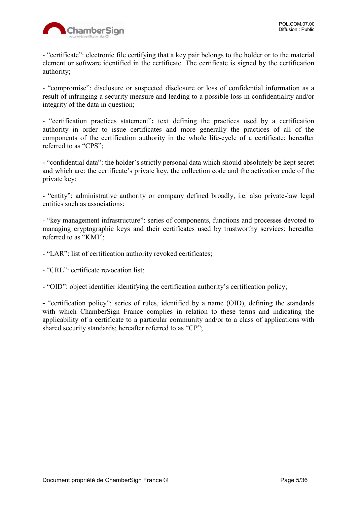

- "certificate": electronic file certifying that a key pair belongs to the holder or to the material element or software identified in the certificate. The certificate is signed by the certification authority;

- "compromise": disclosure or suspected disclosure or loss of confidential information as a result of infringing a security measure and leading to a possible loss in confidentiality and/or integrity of the data in question;

- "certification practices statement"**:** text defining the practices used by a certification authority in order to issue certificates and more generally the practices of all of the components of the certification authority in the whole life-cycle of a certificate; hereafter referred to as "CPS";

**-** "confidential data": the holder's strictly personal data which should absolutely be kept secret and which are: the certificate's private key, the collection code and the activation code of the private key;

- "entity": administrative authority or company defined broadly, i.e. also private-law legal entities such as associations;

- "key management infrastructure": series of components, functions and processes devoted to managing cryptographic keys and their certificates used by trustworthy services; hereafter referred to as "KMI";

- "LAR": list of certification authority revoked certificates;

- "CRL": certificate revocation list;

- "OID": object identifier identifying the certification authority's certification policy;

**-** "certification policy": series of rules, identified by a name (OID), defining the standards with which ChamberSign France complies in relation to these terms and indicating the applicability of a certificate to a particular community and/or to a class of applications with shared security standards; hereafter referred to as "CP";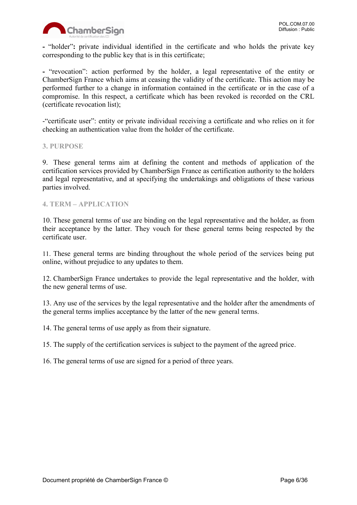

**-** "holder"**:** private individual identified in the certificate and who holds the private key corresponding to the public key that is in this certificate;

**-** "revocation": action performed by the holder, a legal representative of the entity or ChamberSign France which aims at ceasing the validity of the certificate. This action may be performed further to a change in information contained in the certificate or in the case of a compromise. In this respect, a certificate which has been revoked is recorded on the CRL (certificate revocation list);

-"certificate user": entity or private individual receiving a certificate and who relies on it for checking an authentication value from the holder of the certificate.

#### <span id="page-5-0"></span>**3. PURPOSE**

9. These general terms aim at defining the content and methods of application of the certification services provided by ChamberSign France as certification authority to the holders and legal representative, and at specifying the undertakings and obligations of these various parties involved.

#### <span id="page-5-1"></span>**4. TERM – APPLICATION**

10. These general terms of use are binding on the legal representative and the holder, as from their acceptance by the latter. They vouch for these general terms being respected by the certificate user.

11. These general terms are binding throughout the whole period of the services being put online, without prejudice to any updates to them.

12. ChamberSign France undertakes to provide the legal representative and the holder, with the new general terms of use.

13. Any use of the services by the legal representative and the holder after the amendments of the general terms implies acceptance by the latter of the new general terms.

14. The general terms of use apply as from their signature.

15. The supply of the certification services is subject to the payment of the agreed price.

16. The general terms of use are signed for a period of three years.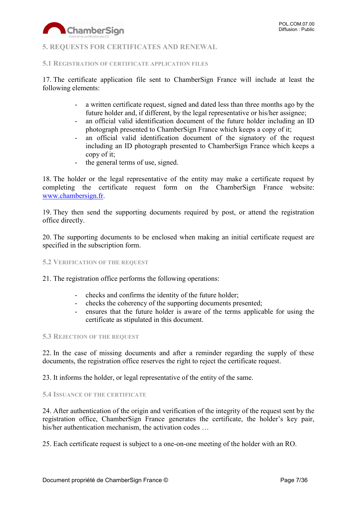

## <span id="page-6-0"></span>**5. REQUESTS FOR CERTIFICATES AND RENEWAL**

#### <span id="page-6-1"></span>**5.1 REGISTRATION OF CERTIFICATE APPLICATION FILES**

17. The certificate application file sent to ChamberSign France will include at least the following elements:

- a written certificate request, signed and dated less than three months ago by the future holder and, if different, by the legal representative or his/her assignee;
- an official valid identification document of the future holder including an ID photograph presented to ChamberSign France which keeps a copy of it;
- an official valid identification document of the signatory of the request including an ID photograph presented to ChamberSign France which keeps a copy of it;
- the general terms of use, signed.

18. The holder or the legal representative of the entity may make a certificate request by completing the certificate request form on the ChamberSign France website: [www.chambersign.fr.](http://www.chambersign.fr/)

19. They then send the supporting documents required by post, or attend the registration office directly.

20. The supporting documents to be enclosed when making an initial certificate request are specified in the subscription form.

#### <span id="page-6-2"></span>**5.2 VERIFICATION OF THE REQUEST**

21. The registration office performs the following operations:

- checks and confirms the identity of the future holder;
- checks the coherency of the supporting documents presented;
- ensures that the future holder is aware of the terms applicable for using the certificate as stipulated in this document.

#### <span id="page-6-3"></span>**5.3 REJECTION OF THE REQUEST**

22. In the case of missing documents and after a reminder regarding the supply of these documents, the registration office reserves the right to reject the certificate request.

23. It informs the holder, or legal representative of the entity of the same.

#### <span id="page-6-4"></span>**5.4 ISSUANCE OF THE CERTIFICATE**

24. After authentication of the origin and verification of the integrity of the request sent by the registration office, ChamberSign France generates the certificate, the holder's key pair, his/her authentication mechanism, the activation codes ...

25. Each certificate request is subject to a one-on-one meeting of the holder with an RO.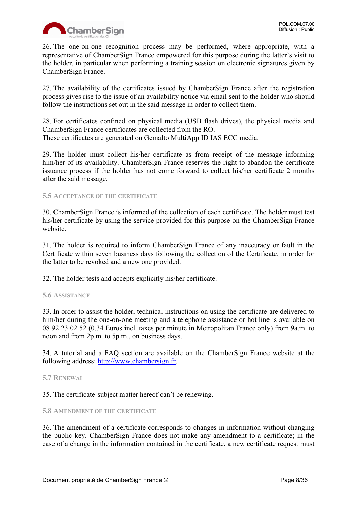

26. The one-on-one recognition process may be performed, where appropriate, with a representative of ChamberSign France empowered for this purpose during the latter's visit to the holder, in particular when performing a training session on electronic signatures given by ChamberSign France.

27. The availability of the certificates issued by ChamberSign France after the registration process gives rise to the issue of an availability notice via email sent to the holder who should follow the instructions set out in the said message in order to collect them.

28. For certificates confined on physical media (USB flash drives), the physical media and ChamberSign France certificates are collected from the RO. These certificates are generated on Gemalto MultiApp ID IAS ECC media.

29. The holder must collect his/her certificate as from receipt of the message informing him/her of its availability. ChamberSign France reserves the right to abandon the certificate issuance process if the holder has not come forward to collect his/her certificate 2 months after the said message.

#### <span id="page-7-0"></span>**5.5 ACCEPTANCE OF THE CERTIFICATE**

30. ChamberSign France is informed of the collection of each certificate. The holder must test his/her certificate by using the service provided for this purpose on the ChamberSign France website.

31. The holder is required to inform ChamberSign France of any inaccuracy or fault in the Certificate within seven business days following the collection of the Certificate, in order for the latter to be revoked and a new one provided.

32. The holder tests and accepts explicitly his/her certificate.

#### <span id="page-7-1"></span>**5.6 ASSISTANCE**

33. In order to assist the holder, technical instructions on using the certificate are delivered to him/her during the one-on-one meeting and a telephone assistance or hot line is available on 08 92 23 02 52 (0.34 Euros incl. taxes per minute in Metropolitan France only) from 9a.m. to noon and from 2p.m. to 5p.m., on business days.

34. A tutorial and a FAQ section are available on the ChamberSign France website at the following address: [http://www.chambersign.fr.](http://www.chambersign.fr/)

#### <span id="page-7-2"></span>**5.7 RENEWAL**

35. The certificate subject matter hereof can't be renewing.

#### <span id="page-7-3"></span>**5.8 AMENDMENT OF THE CERTIFICATE**

36. The amendment of a certificate corresponds to changes in information without changing the public key. ChamberSign France does not make any amendment to a certificate; in the case of a change in the information contained in the certificate, a new certificate request must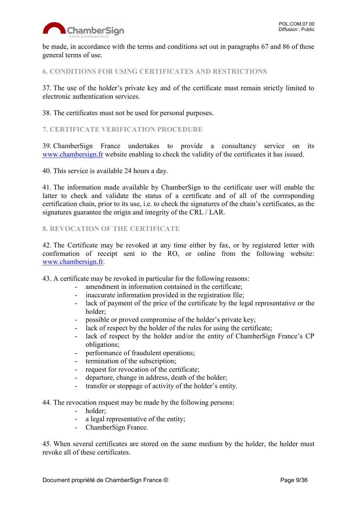

be made, in accordance with the terms and conditions set out in paragraphs 67 and 86 of these general terms of use.

# <span id="page-8-0"></span>**6. CONDITIONS FOR USING CERTIFICATES AND RESTRICTIONS**

37. The use of the holder's private key and of the certificate must remain strictly limited to electronic authentication services.

38. The certificates must not be used for personal purposes.

#### <span id="page-8-1"></span>**7. CERTIFICATE VERIFICATION PROCEDURE**

39. ChamberSign France undertakes to provide a consultancy service on its [www.chambersign.fr](http://www.chambersign.fr/) website enabling to check the validity of the certificates it has issued.

40. This service is available 24 hours a day.

41. The information made available by ChamberSign to the certificate user will enable the latter to check and validate the status of a certificate and of all of the corresponding certification chain, prior to its use, i.e. to check the signatures of the chain's certificates, as the signatures guarantee the origin and integrity of the CRL / LAR.

# <span id="page-8-2"></span>**8. REVOCATION OF THE CERTIFICATE**

42. The Certificate may be revoked at any time either by fax, or by registered letter with confirmation of receipt sent to the RO, or online from the following website: [www.chambersign.fr.](http://www.chambersign.fr/)

43. A certificate may be revoked in particular for the following reasons:

- amendment in information contained in the certificate;
- inaccurate information provided in the registration file;
- lack of payment of the price of the certificate by the legal representative or the holder;
- possible or proved compromise of the holder's private key;
- lack of respect by the holder of the rules for using the certificate;
- lack of respect by the holder and/or the entity of ChamberSign France's CP obligations;
- performance of fraudulent operations;
- termination of the subscription;
- request for revocation of the certificate;
- departure, change in address, death of the holder;
- transfer or stoppage of activity of the holder's entity.
- 44. The revocation request may be made by the following persons:
	- holder:
	- a legal representative of the entity;
	- ChamberSign France.

45. When several certificates are stored on the same medium by the holder, the holder must revoke all of these certificates.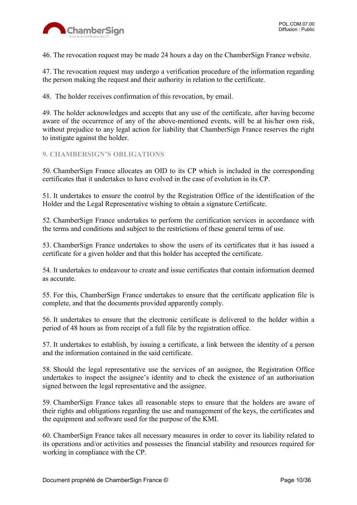

46. The revocation request may be made 24 hours a day on the ChamberSign France website.

47. The revocation request may undergo a verification procedure of the information regarding the person making the request and their authority in relation to the certificate.

48. The holder receives confirmation of this revocation, by email.

49. The holder acknowledges and accepts that any use of the certificate, after having become aware of the occurrence of any of the above-mentioned events, will be at his/her own risk, without prejudice to any legal action for liability that ChamberSign France reserves the right to instigate against the holder.

# <span id="page-9-0"></span>**9. CHAMBERSIGN'S OBLIGATIONS**

50. ChamberSign France allocates an OID to its CP which is included in the corresponding certificates that it undertakes to have evolved in the case of evolution in its CP.

51. It undertakes to ensure the control by the Registration Office of the identification of the Holder and the Legal Representative wishing to obtain a signature Certificate.

52. ChamberSign France undertakes to perform the certification services in accordance with the terms and conditions and subject to the restrictions of these general terms of use.

53. ChamberSign France undertakes to show the users of its certificates that it has issued a certificate for a given holder and that this holder has accepted the certificate.

54. It undertakes to endeavour to create and issue certificates that contain information deemed as accurate.

55. For this, ChamberSign France undertakes to ensure that the certificate application file is complete, and that the documents provided apparently comply.

56. It undertakes to ensure that the electronic certificate is delivered to the holder within a period of 48 hours as from receipt of a full file by the registration office.

57. It undertakes to establish, by issuing a certificate, a link between the identity of a person and the information contained in the said certificate.

58. Should the legal representative use the services of an assignee, the Registration Office undertakes to inspect the assignee's identity and to check the existence of an authorisation signed between the legal representative and the assignee.

59. ChamberSign France takes all reasonable steps to ensure that the holders are aware of their rights and obligations regarding the use and management of the keys, the certificates and the equipment and software used for the purpose of the KMI.

60. ChamberSign France takes all necessary measures in order to cover its liability related to its operations and/or activities and possesses the financial stability and resources required for working in compliance with the CP.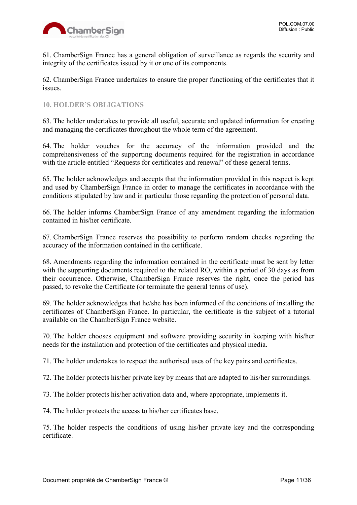

61. ChamberSign France has a general obligation of surveillance as regards the security and integrity of the certificates issued by it or one of its components.

62. ChamberSign France undertakes to ensure the proper functioning of the certificates that it issues.

#### <span id="page-10-0"></span>**10. HOLDER'S OBLIGATIONS**

63. The holder undertakes to provide all useful, accurate and updated information for creating and managing the certificates throughout the whole term of the agreement.

64. The holder vouches for the accuracy of the information provided and the comprehensiveness of the supporting documents required for the registration in accordance with the article entitled "Requests for certificates and renewal" of these general terms.

65. The holder acknowledges and accepts that the information provided in this respect is kept and used by ChamberSign France in order to manage the certificates in accordance with the conditions stipulated by law and in particular those regarding the protection of personal data.

66. The holder informs ChamberSign France of any amendment regarding the information contained in his/her certificate.

67. ChamberSign France reserves the possibility to perform random checks regarding the accuracy of the information contained in the certificate.

68. Amendments regarding the information contained in the certificate must be sent by letter with the supporting documents required to the related RO, within a period of 30 days as from their occurrence. Otherwise, ChamberSign France reserves the right, once the period has passed, to revoke the Certificate (or terminate the general terms of use).

69. The holder acknowledges that he/she has been informed of the conditions of installing the certificates of ChamberSign France. In particular, the certificate is the subject of a tutorial available on the ChamberSign France website.

70. The holder chooses equipment and software providing security in keeping with his/her needs for the installation and protection of the certificates and physical media.

71. The holder undertakes to respect the authorised uses of the key pairs and certificates.

72. The holder protects his/her private key by means that are adapted to his/her surroundings.

73. The holder protects his/her activation data and, where appropriate, implements it.

74. The holder protects the access to his/her certificates base.

75. The holder respects the conditions of using his/her private key and the corresponding certificate.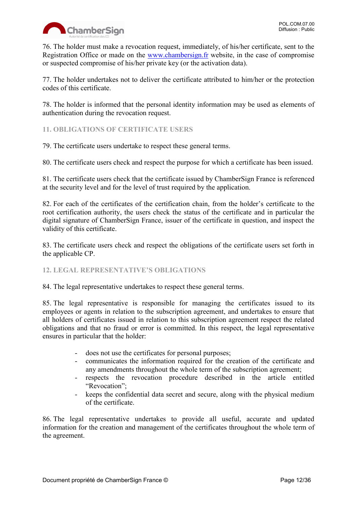

76. The holder must make a revocation request, immediately, of his/her certificate, sent to the Registration Office or made on the [www.chambersign.fr](http://www.chambersign.fr/) website, in the case of compromise or suspected compromise of his/her private key (or the activation data).

77. The holder undertakes not to deliver the certificate attributed to him/her or the protection codes of this certificate.

78. The holder is informed that the personal identity information may be used as elements of authentication during the revocation request.

# <span id="page-11-0"></span>**11. OBLIGATIONS OF CERTIFICATE USERS**

79. The certificate users undertake to respect these general terms.

80. The certificate users check and respect the purpose for which a certificate has been issued.

81. The certificate users check that the certificate issued by ChamberSign France is referenced at the security level and for the level of trust required by the application.

82. For each of the certificates of the certification chain, from the holder's certificate to the root certification authority, the users check the status of the certificate and in particular the digital signature of ChamberSign France, issuer of the certificate in question, and inspect the validity of this certificate.

83. The certificate users check and respect the obligations of the certificate users set forth in the applicable CP.

# <span id="page-11-1"></span>**12. LEGAL REPRESENTATIVE'S OBLIGATIONS**

84. The legal representative undertakes to respect these general terms.

85. The legal representative is responsible for managing the certificates issued to its employees or agents in relation to the subscription agreement, and undertakes to ensure that all holders of certificates issued in relation to this subscription agreement respect the related obligations and that no fraud or error is committed. In this respect, the legal representative ensures in particular that the holder:

- does not use the certificates for personal purposes;
- communicates the information required for the creation of the certificate and any amendments throughout the whole term of the subscription agreement;
- respects the revocation procedure described in the article entitled "Revocation":
- keeps the confidential data secret and secure, along with the physical medium of the certificate.

86. The legal representative undertakes to provide all useful, accurate and updated information for the creation and management of the certificates throughout the whole term of the agreement.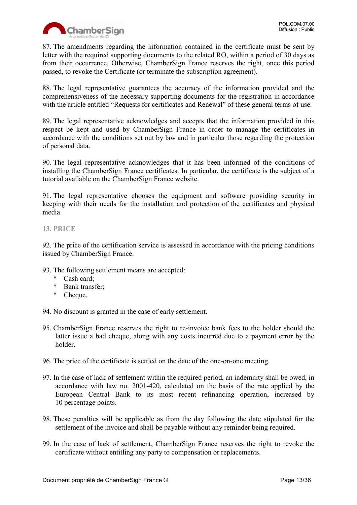

87. The amendments regarding the information contained in the certificate must be sent by letter with the required supporting documents to the related RO, within a period of 30 days as from their occurrence. Otherwise, ChamberSign France reserves the right, once this period passed, to revoke the Certificate (or terminate the subscription agreement).

88. The legal representative guarantees the accuracy of the information provided and the comprehensiveness of the necessary supporting documents for the registration in accordance with the article entitled "Requests for certificates and Renewal" of these general terms of use.

89. The legal representative acknowledges and accepts that the information provided in this respect be kept and used by ChamberSign France in order to manage the certificates in accordance with the conditions set out by law and in particular those regarding the protection of personal data.

90. The legal representative acknowledges that it has been informed of the conditions of installing the ChamberSign France certificates. In particular, the certificate is the subject of a tutorial available on the ChamberSign France website.

91. The legal representative chooses the equipment and software providing security in keeping with their needs for the installation and protection of the certificates and physical media.

# <span id="page-12-0"></span>**13. PRICE**

92. The price of the certification service is assessed in accordance with the pricing conditions issued by ChamberSign France.

- 93. The following settlement means are accepted:
	- \* Cash card;
	- \* Bank transfer;
	- \* Cheque.

94. No discount is granted in the case of early settlement.

- 95. ChamberSign France reserves the right to re-invoice bank fees to the holder should the latter issue a bad cheque, along with any costs incurred due to a payment error by the holder.
- 96. The price of the certificate is settled on the date of the one-on-one meeting.
- 97. In the case of lack of settlement within the required period, an indemnity shall be owed, in accordance with law no. 2001-420, calculated on the basis of the rate applied by the European Central Bank to its most recent refinancing operation, increased by 10 percentage points.
- 98. These penalties will be applicable as from the day following the date stipulated for the settlement of the invoice and shall be payable without any reminder being required.
- 99. In the case of lack of settlement, ChamberSign France reserves the right to revoke the certificate without entitling any party to compensation or replacements.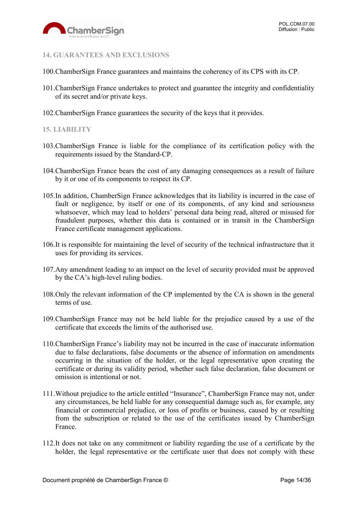

### <span id="page-13-0"></span>**14. GUARANTEES AND EXCLUSIONS**

- 100.ChamberSign France guarantees and maintains the coherency of its CPS with its CP.
- 101.ChamberSign France undertakes to protect and guarantee the integrity and confidentiality of its secret and/or private keys.
- 102.ChamberSign France guarantees the security of the keys that it provides.

#### <span id="page-13-1"></span>**15. LIABILITY**

- 103.ChamberSign France is liable for the compliance of its certification policy with the requirements issued by the Standard-CP.
- 104.ChamberSign France bears the cost of any damaging consequences as a result of failure by it or one of its components to respect its CP.
- 105.In addition, ChamberSign France acknowledges that its liability is incurred in the case of fault or negligence, by itself or one of its components, of any kind and seriousness whatsoever, which may lead to holders' personal data being read, altered or misused for fraudulent purposes, whether this data is contained or in transit in the ChamberSign France certificate management applications.
- 106.It is responsible for maintaining the level of security of the technical infrastructure that it uses for providing its services.
- 107.Any amendment leading to an impact on the level of security provided must be approved by the CA's high-level ruling bodies.
- 108.Only the relevant information of the CP implemented by the CA is shown in the general terms of use.
- 109.ChamberSign France may not be held liable for the prejudice caused by a use of the certificate that exceeds the limits of the authorised use.
- 110.ChamberSign France's liability may not be incurred in the case of inaccurate information due to false declarations, false documents or the absence of information on amendments occurring in the situation of the holder, or the legal representative upon creating the certificate or during its validity period, whether such false declaration, false document or omission is intentional or not.
- 111.Without prejudice to the article entitled "Insurance", ChamberSign France may not, under any circumstances, be held liable for any consequential damage such as, for example, any financial or commercial prejudice, or loss of profits or business, caused by or resulting from the subscription or related to the use of the certificates issued by ChamberSign France.
- 112.It does not take on any commitment or liability regarding the use of a certificate by the holder, the legal representative or the certificate user that does not comply with these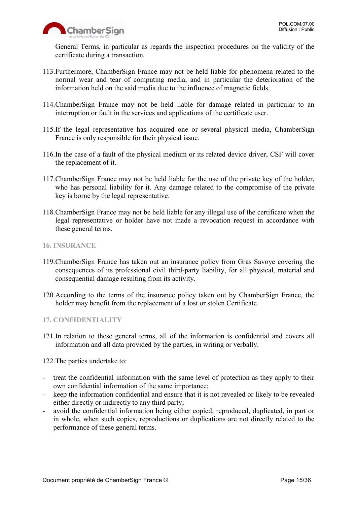

General Terms, in particular as regards the inspection procedures on the validity of the certificate during a transaction.

- 113.Furthermore, ChamberSign France may not be held liable for phenomena related to the normal wear and tear of computing media, and in particular the deterioration of the information held on the said media due to the influence of magnetic fields.
- 114.ChamberSign France may not be held liable for damage related in particular to an interruption or fault in the services and applications of the certificate user.
- 115.If the legal representative has acquired one or several physical media, ChamberSign France is only responsible for their physical issue.
- 116.In the case of a fault of the physical medium or its related device driver, CSF will cover the replacement of it.
- 117.ChamberSign France may not be held liable for the use of the private key of the holder, who has personal liability for it. Any damage related to the compromise of the private key is borne by the legal representative.
- 118.ChamberSign France may not be held liable for any illegal use of the certificate when the legal representative or holder have not made a revocation request in accordance with these general terms.
- <span id="page-14-0"></span>**16. INSURANCE**
- 119.ChamberSign France has taken out an insurance policy from Gras Savoye covering the consequences of its professional civil third-party liability, for all physical, material and consequential damage resulting from its activity.
- 120.According to the terms of the insurance policy taken out by ChamberSign France, the holder may benefit from the replacement of a lost or stolen Certificate.
- <span id="page-14-1"></span>**17. CONFIDENTIALITY**
- 121.In relation to these general terms, all of the information is confidential and covers all information and all data provided by the parties, in writing or verbally.

122.The parties undertake to:

- treat the confidential information with the same level of protection as they apply to their own confidential information of the same importance;
- keep the information confidential and ensure that it is not revealed or likely to be revealed either directly or indirectly to any third party;
- avoid the confidential information being either copied, reproduced, duplicated, in part or in whole, when such copies, reproductions or duplications are not directly related to the performance of these general terms.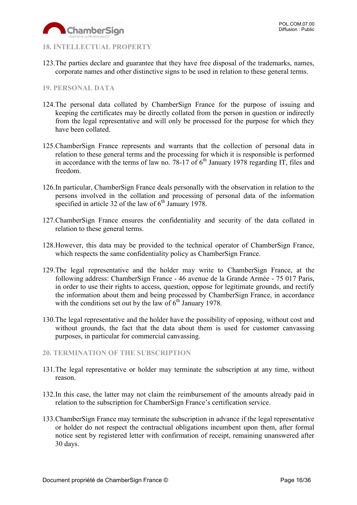

#### <span id="page-15-0"></span>**18. INTELLECTUAL PROPERTY**

123.The parties declare and guarantee that they have free disposal of the trademarks, names, corporate names and other distinctive signs to be used in relation to these general terms.

#### <span id="page-15-1"></span>**19. PERSONAL DATA**

- 124.The personal data collated by ChamberSign France for the purpose of issuing and keeping the certificates may be directly collated from the person in question or indirectly from the legal representative and will only be processed for the purpose for which they have been collated.
- 125.ChamberSign France represents and warrants that the collection of personal data in relation to these general terms and the processing for which it is responsible is performed in accordance with the terms of law no. 78-17 of  $6<sup>th</sup>$  January 1978 regarding IT, files and freedom.
- 126.In particular, ChamberSign France deals personally with the observation in relation to the persons involved in the collation and processing of personal data of the information specified in article 32 of the law of  $6<sup>th</sup>$  January 1978.
- 127.ChamberSign France ensures the confidentiality and security of the data collated in relation to these general terms.
- 128.However, this data may be provided to the technical operator of ChamberSign France, which respects the same confidentiality policy as ChamberSign France.
- 129.The legal representative and the holder may write to ChamberSign France, at the following address: ChamberSign France - 46 avenue de la Grande Armée - 75 017 Paris, in order to use their rights to access, question, oppose for legitimate grounds, and rectify the information about them and being processed by ChamberSign France, in accordance with the conditions set out by the law of  $6<sup>th</sup>$  January 1978.
- 130.The legal representative and the holder have the possibility of opposing, without cost and without grounds, the fact that the data about them is used for customer canvassing purposes, in particular for commercial canvassing.

#### <span id="page-15-2"></span>**20. TERMINATION OF THE SUBSCRIPTION**

- 131.The legal representative or holder may terminate the subscription at any time, without reason.
- 132.In this case, the latter may not claim the reimbursement of the amounts already paid in relation to the subscription for ChamberSign France's certification service.
- 133.ChamberSign France may terminate the subscription in advance if the legal representative or holder do not respect the contractual obligations incumbent upon them, after formal notice sent by registered letter with confirmation of receipt, remaining unanswered after 30 days.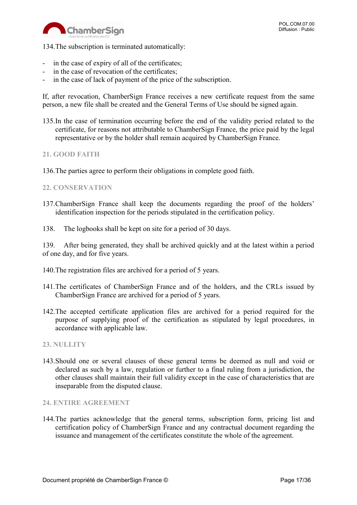

134.The subscription is terminated automatically:

- in the case of expiry of all of the certificates;
- in the case of revocation of the certificates;
- in the case of lack of payment of the price of the subscription.

If, after revocation, ChamberSign France receives a new certificate request from the same person, a new file shall be created and the General Terms of Use should be signed again.

135.In the case of termination occurring before the end of the validity period related to the certificate, for reasons not attributable to ChamberSign France, the price paid by the legal representative or by the holder shall remain acquired by ChamberSign France.

#### <span id="page-16-0"></span>**21. GOOD FAITH**

136.The parties agree to perform their obligations in complete good faith.

#### <span id="page-16-1"></span>**22. CONSERVATION**

- 137.ChamberSign France shall keep the documents regarding the proof of the holders' identification inspection for the periods stipulated in the certification policy.
- 138. The logbooks shall be kept on site for a period of 30 days.

139. After being generated, they shall be archived quickly and at the latest within a period of one day, and for five years.

- 140.The registration files are archived for a period of 5 years.
- 141.The certificates of ChamberSign France and of the holders, and the CRLs issued by ChamberSign France are archived for a period of 5 years.
- 142.The accepted certificate application files are archived for a period required for the purpose of supplying proof of the certification as stipulated by legal procedures, in accordance with applicable law.

#### <span id="page-16-2"></span>**23. NULLITY**

143.Should one or several clauses of these general terms be deemed as null and void or declared as such by a law, regulation or further to a final ruling from a jurisdiction, the other clauses shall maintain their full validity except in the case of characteristics that are inseparable from the disputed clause.

#### <span id="page-16-3"></span>**24. ENTIRE AGREEMENT**

144.The parties acknowledge that the general terms, subscription form, pricing list and certification policy of ChamberSign France and any contractual document regarding the issuance and management of the certificates constitute the whole of the agreement.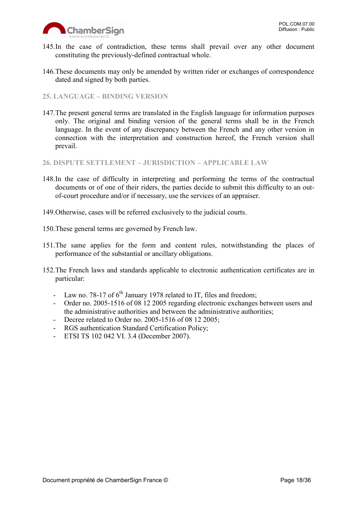

- 145.In the case of contradiction, these terms shall prevail over any other document constituting the previously-defined contractual whole.
- 146.These documents may only be amended by written rider or exchanges of correspondence dated and signed by both parties.

#### <span id="page-17-0"></span>**25. LANGUAGE – BINDING VERSION**

147.The present general terms are translated in the English language for information purposes only. The original and binding version of the general terms shall be in the French language. In the event of any discrepancy between the French and any other version in connection with the interpretation and construction hereof, the French version shall prevail.

<span id="page-17-1"></span>**26. DISPUTE SETTLEMENT – JURISDICTION – APPLICABLE LAW**

- 148.In the case of difficulty in interpreting and performing the terms of the contractual documents or of one of their riders, the parties decide to submit this difficulty to an outof-court procedure and/or if necessary, use the services of an appraiser.
- 149.Otherwise, cases will be referred exclusively to the judicial courts.
- 150.These general terms are governed by French law.
- 151.The same applies for the form and content rules, notwithstanding the places of performance of the substantial or ancillary obligations.
- 152.The French laws and standards applicable to electronic authentication certificates are in particular:
	- Law no. 78-17 of 6<sup>th</sup> January 1978 related to IT, files and freedom;
	- Order no. 2005-1516 of 08 12 2005 regarding electronic exchanges between users and the administrative authorities and between the administrative authorities;
	- Decree related to Order no. 2005-1516 of 08 12 2005;
	- RGS authentication Standard Certification Policy;
	- ETSI TS 102 042 VI. 3.4 (December 2007).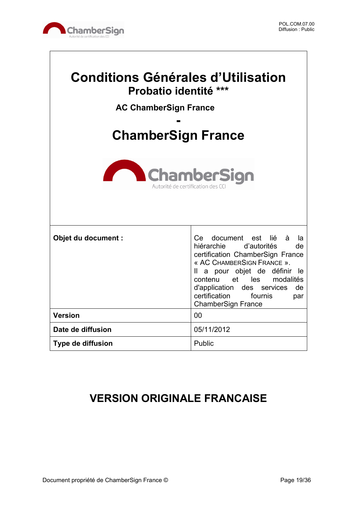

 $\sqrt{ }$ 

| <b>Conditions Générales d'Utilisation</b><br>Probatio identité ***<br><b>AC ChamberSign France</b><br><b>ChamberSign France</b> |                                                                                                                                                                                                                                                                                                          |  |  |
|---------------------------------------------------------------------------------------------------------------------------------|----------------------------------------------------------------------------------------------------------------------------------------------------------------------------------------------------------------------------------------------------------------------------------------------------------|--|--|
| <b>ChamberSign</b><br>Autorité de certification de                                                                              |                                                                                                                                                                                                                                                                                                          |  |  |
| Objet du document :                                                                                                             | document est lié à<br>Ce<br>la<br>hiérarchie d'autorités<br>de<br>certification ChamberSign France<br>« AC CHAMBERSIGN FRANCE ».<br>Il a pour objet de définir<br>-le<br>contenu et les modalités<br>d'application<br>des services<br>de<br>certification<br>fournis<br>par<br><b>ChamberSign France</b> |  |  |
| <b>Version</b>                                                                                                                  | 00                                                                                                                                                                                                                                                                                                       |  |  |
| Date de diffusion                                                                                                               | 05/11/2012                                                                                                                                                                                                                                                                                               |  |  |
| <b>Type de diffusion</b>                                                                                                        | Public                                                                                                                                                                                                                                                                                                   |  |  |

# **VERSION ORIGINALE FRANCAISE**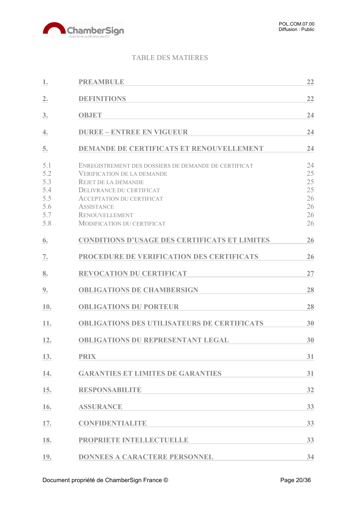

# TABLE DES MATIERES

| 1.                                            | <b>PREAMBULE</b>                                                                                                                                                                                                                      | 22                                     |
|-----------------------------------------------|---------------------------------------------------------------------------------------------------------------------------------------------------------------------------------------------------------------------------------------|----------------------------------------|
| 2.                                            | <b>DEFINITIONS</b>                                                                                                                                                                                                                    | 22                                     |
| 3.                                            | <b>OBJET</b>                                                                                                                                                                                                                          | 24                                     |
| 4.                                            | <b>DUREE - ENTREE EN VIGUEUR</b>                                                                                                                                                                                                      | 24                                     |
| 5.                                            | <b>DEMANDE DE CERTIFICATS ET RENOUVELLEMENT</b>                                                                                                                                                                                       | 24                                     |
| 5.1<br>5.2<br>5.3<br>5.4<br>5.5<br>5.6<br>5.7 | ENREGISTREMENT DES DOSSIERS DE DEMANDE DE CERTIFICAT<br><b>VERIFICATION DE LA DEMANDE</b><br><b>REJET DE LA DEMANDE</b><br>DELIVRANCE DU CERTIFICAT<br><b>ACCEPTATION DU CERTIFICAT</b><br><b>ASSISTANCE</b><br><b>RENOUVELLEMENT</b> | 24<br>25<br>25<br>25<br>26<br>26<br>26 |
| 5.8                                           | <b>MODIFICATION DU CERTIFICAT</b>                                                                                                                                                                                                     | 26                                     |
| 6.                                            | <b>CONDITIONS D'USAGE DES CERTIFICATS ET LIMITES</b>                                                                                                                                                                                  | 26                                     |
| 7.                                            | PROCEDURE DE VERIFICATION DES CERTIFICATS                                                                                                                                                                                             | 26                                     |
| 8.                                            | <b>REVOCATION DU CERTIFICAT</b>                                                                                                                                                                                                       | 27                                     |
| 9.                                            | <b>OBLIGATIONS DE CHAMBERSIGN</b>                                                                                                                                                                                                     | 28                                     |
| 10.                                           | <b>OBLIGATIONS DU PORTEUR</b>                                                                                                                                                                                                         | 28                                     |
| 11.                                           | <b>OBLIGATIONS DES UTILISATEURS DE CERTIFICATS</b>                                                                                                                                                                                    | 30                                     |
| 12.                                           | <b>OBLIGATIONS DU REPRESENTANT LEGAL</b>                                                                                                                                                                                              | 30                                     |
| 13.                                           | <b>PRIX</b>                                                                                                                                                                                                                           | 31                                     |
| 14.                                           | <b>GARANTIES ET LIMITES DE GARANTIES</b>                                                                                                                                                                                              | 31                                     |
| 15.                                           | <b>RESPONSABILITE</b>                                                                                                                                                                                                                 | 32                                     |
| 16.                                           | <b>ASSURANCE</b>                                                                                                                                                                                                                      | 33                                     |
| 17.                                           | <b>CONFIDENTIALITE</b>                                                                                                                                                                                                                | 33                                     |
| 18.                                           | PROPRIETE INTELLECTUELLE                                                                                                                                                                                                              | 33                                     |
| 19.                                           | <b>DONNEES A CARACTERE PERSONNEL</b>                                                                                                                                                                                                  | 34                                     |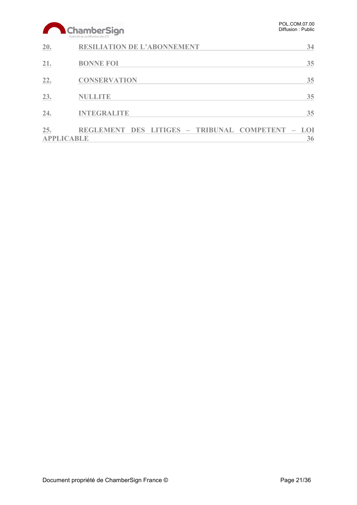# ChamberSign

| 20.                      | <b>RESILIATION DE L'ABONNEMENT</b>               | 34 |
|--------------------------|--------------------------------------------------|----|
| 21.                      | <b>BONNE FOI</b>                                 | 35 |
| 22.                      | <b>CONSERVATION</b>                              | 35 |
| 23.                      | <b>NULLITE</b>                                   | 35 |
| 24.                      | <b>INTEGRALITE</b>                               | 35 |
| 25.<br><b>APPLICABLE</b> | REGLEMENT DES LITIGES - TRIBUNAL COMPETENT - LOI | 36 |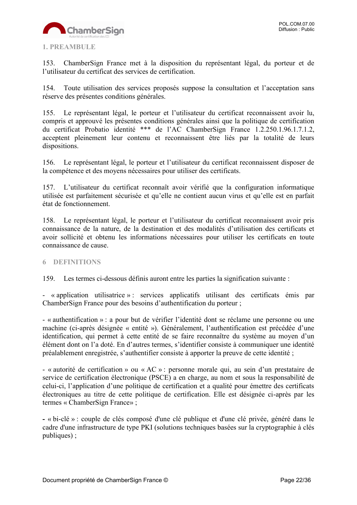

#### <span id="page-21-0"></span>**1. PREAMBULE**

153. ChamberSign France met à la disposition du représentant légal, du porteur et de l'utilisateur du certificat des services de certification.

154. Toute utilisation des services proposés suppose la consultation et l'acceptation sans réserve des présentes conditions générales.

155. Le représentant légal, le porteur et l'utilisateur du certificat reconnaissent avoir lu, compris et approuvé les présentes conditions générales ainsi que la politique de certification du certificat Probatio identité \*\*\* de l'AC ChamberSign France 1.2.250.1.96.1.7.1.2, acceptent pleinement leur contenu et reconnaissent être liés par la totalité de leurs dispositions.

156. Le représentant légal, le porteur et l'utilisateur du certificat reconnaissent disposer de la compétence et des moyens nécessaires pour utiliser des certificats.

157. L'utilisateur du certificat reconnaît avoir vérifié que la configuration informatique utilisée est parfaitement sécurisée et qu'elle ne contient aucun virus et qu'elle est en parfait état de fonctionnement.

158. Le représentant légal, le porteur et l'utilisateur du certificat reconnaissent avoir pris connaissance de la nature, de la destination et des modalités d'utilisation des certificats et avoir sollicité et obtenu les informations nécessaires pour utiliser les certificats en toute connaissance de cause.

#### <span id="page-21-1"></span>**6 DEFINITIONS**

159. Les termes ci-dessous définis auront entre les parties la signification suivante :

- « application utilisatrice » : services applicatifs utilisant des certificats émis par ChamberSign France pour des besoins d'authentification du porteur ;

- « authentification » : a pour but de vérifier l'identité dont se réclame une personne ou une machine (ci-après désignée « entité »). Généralement, l'authentification est précédée d'une identification, qui permet à cette entité de se faire reconnaître du système au moyen d'un élément dont on l'a doté. En d'autres termes, s'identifier consiste à communiquer une identité préalablement enregistrée, s'authentifier consiste à apporter la preuve de cette identité ;

- « autorité de certification » ou « AC » : personne morale qui, au sein d'un prestataire de service de certification électronique (PSCE) a en charge, au nom et sous la responsabilité de celui-ci, l'application d'une politique de certification et a qualité pour émettre des certificats électroniques au titre de cette politique de certification. Elle est désignée ci-après par les termes « ChamberSign France» ;

**-** « bi-clé » : couple de clés composé d'une clé publique et d'une clé privée, généré dans le cadre d'une infrastructure de type PKI (solutions techniques basées sur la cryptographie à clés publiques) ;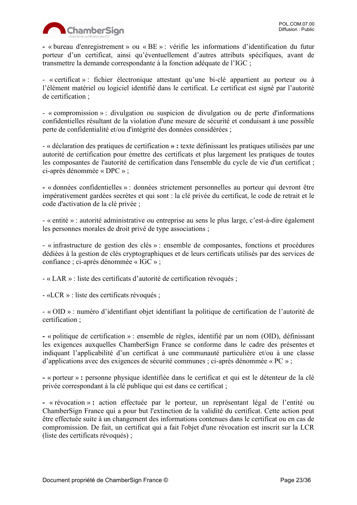

**-** « bureau d'enregistrement » ou « BE » : vérifie les informations d'identification du futur porteur d'un certificat, ainsi qu'éventuellement d'autres attributs spécifiques, avant de transmettre la demande correspondante à la fonction adéquate de l'IGC ;

- « certificat » : fichier électronique attestant qu'une bi-clé appartient au porteur ou à l'élément matériel ou logiciel identifié dans le certificat. Le certificat est signé par l'autorité de certification ;

- « compromission » : divulgation ou suspicion de divulgation ou de perte d'informations confidentielles résultant de la violation d'une mesure de sécurité et conduisant à une possible perte de confidentialité et/ou d'intégrité des données considérées ;

- « déclaration des pratiques de certification **» :** texte définissant les pratiques utilisées par une autorité de certification pour émettre des certificats et plus largement les pratiques de toutes les composantes de l'autorité de certification dans l'ensemble du cycle de vie d'un certificat ; ci-après dénommée « DPC » ;

**-** « données confidentielles » : données strictement personnelles au porteur qui devront être impérativement gardées secrètes et qui sont : la clé privée du certificat, le code de retrait et le code d'activation de la clé privée ;

- « entité » : autorité administrative ou entreprise au sens le plus large, c'est-à-dire également les personnes morales de droit privé de type associations ;

- « infrastructure de gestion des clés » : ensemble de composantes, fonctions et procédures dédiées à la gestion de clés cryptographiques et de leurs certificats utilisés par des services de confiance ; ci-après dénommée « IGC » ;

- « LAR » : liste des certificats d'autorité de certification révoqués ;

- «LCR » : liste des certificats révoqués ;

- « OID » : numéro d'identifiant objet identifiant la politique de certification de l'autorité de certification ;

**-** « politique de certification » : ensemble de règles, identifié par un nom (OID), définissant les exigences auxquelles ChamberSign France se conforme dans le cadre des présentes et indiquant l'applicabilité d'un certificat à une communauté particulière et/ou à une classe d'applications avec des exigences de sécurité communes ; ci-après dénommée « PC » ;

**-** « porteur » **:** personne physique identifiée dans le certificat et qui est le détenteur de la clé privée correspondant à la clé publique qui est dans ce certificat ;

**-** « révocation » **:** action effectuée par le porteur, un représentant légal de l'entité ou ChamberSign France qui a pour but l'extinction de la validité du certificat. Cette action peut être effectuée suite à un changement des informations contenues dans le certificat ou en cas de compromission. De fait, un certificat qui a fait l'objet d'une révocation est inscrit sur la LCR (liste des certificats révoqués) ;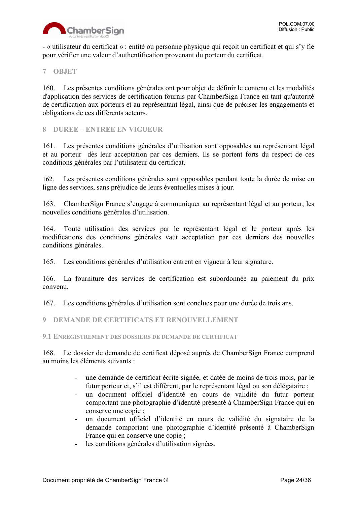

- « utilisateur du certificat » : entité ou personne physique qui reçoit un certificat et qui s'y fie pour vérifier une valeur d'authentification provenant du porteur du certificat.

#### <span id="page-23-0"></span>**7 OBJET**

160. Les présentes conditions générales ont pour objet de définir le contenu et les modalités d'application des services de certification fournis par ChamberSign France en tant qu'autorité de certification aux porteurs et au représentant légal, ainsi que de préciser les engagements et obligations de ces différents acteurs.

<span id="page-23-1"></span>**8 DUREE – ENTREE EN VIGUEUR**

161. Les présentes conditions générales d'utilisation sont opposables au représentant légal et au porteur dès leur acceptation par ces derniers. Ils se portent forts du respect de ces conditions générales par l'utilisateur du certificat.

162. Les présentes conditions générales sont opposables pendant toute la durée de mise en ligne des services, sans préjudice de leurs éventuelles mises à jour.

163. ChamberSign France s'engage à communiquer au représentant légal et au porteur, les nouvelles conditions générales d'utilisation.

164. Toute utilisation des services par le représentant légal et le porteur après les modifications des conditions générales vaut acceptation par ces derniers des nouvelles conditions générales.

165. Les conditions générales d'utilisation entrent en vigueur à leur signature.

166. La fourniture des services de certification est subordonnée au paiement du prix convenu.

167. Les conditions générales d'utilisation sont conclues pour une durée de trois ans.

<span id="page-23-2"></span>**9 DEMANDE DE CERTIFICATS ET RENOUVELLEMENT**

<span id="page-23-3"></span>**9.1 ENREGISTREMENT DES DOSSIERS DE DEMANDE DE CERTIFICAT**

168. Le dossier de demande de certificat déposé auprès de ChamberSign France comprend au moins les éléments suivants :

- une demande de certificat écrite signée, et datée de moins de trois mois, par le futur porteur et, s'il est différent, par le représentant légal ou son délégataire ;
- un document officiel d'identité en cours de validité du futur porteur comportant une photographie d'identité présenté à ChamberSign France qui en conserve une copie ;
- un document officiel d'identité en cours de validité du signataire de la demande comportant une photographie d'identité présenté à ChamberSign France qui en conserve une copie ;
- les conditions générales d'utilisation signées.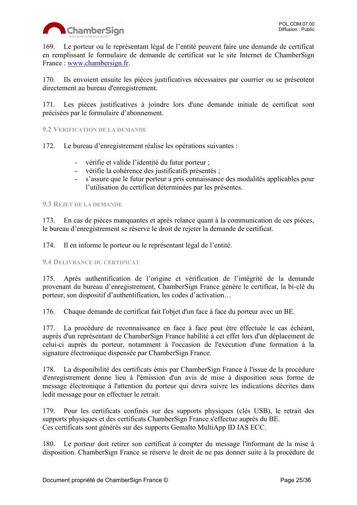

169. Le porteur ou le représentant légal de l'entité peuvent faire une demande de certificat en remplissant le formulaire de demande de certificat sur le site Internet de ChamberSign France: [www.chambersign.fr.](http://www.chambersign.fr/)

170. Ils envoient ensuite les pièces justificatives nécessaires par courrier ou se présentent directement au bureau d'enregistrement.

171. Les pièces justificatives à joindre lors d'une demande initiale de certificat sont précisées par le formulaire d'abonnement.

<span id="page-24-0"></span>**9.2 VERIFICATION DE LA DEMANDE**

- 172. Le bureau d'enregistrement réalise les opérations suivantes :
	- vérifie et valide l'identité du futur porteur ;
	- vérifie la cohérence des justificatifs présentés ;
	- s'assure que le futur porteur a pris connaissance des modalités applicables pour l'utilisation du certificat déterminées par les présentes.

#### <span id="page-24-1"></span>**9.3 REJET DE LA DEMANDE**

173. En cas de pièces manquantes et après relance quant à la communication de ces pièces, le bureau d'enregistrement se réserve le droit de rejeter la demande de certificat.

174. Il en informe le porteur ou le représentant légal de l'entité.

#### <span id="page-24-2"></span>**9.4 DELIVRANCE DU CERTIFICAT**

175. Après authentification de l'origine et vérification de l'intégrité de la demande provenant du bureau d'enregistrement, ChamberSign France génère le certificat, la bi-clé du porteur, son dispositif d'authentification, les codes d'activation…

176. Chaque demande de certificat fait l'objet d'un face à face du porteur avec un BE.

177. La procédure de reconnaissance en face à face peut être effectuée le cas échéant, auprès d'un représentant de ChamberSign France habilité à cet effet lors d'un déplacement de celui-ci auprès du porteur, notamment à l'occasion de l'exécution d'une formation à la signature électronique dispensée par ChamberSign France.

178. La disponibilité des certificats émis par ChamberSign France à l'issue de la procédure d'enregistrement donne lieu à l'émission d'un avis de mise à disposition sous forme de message électronique à l'attention du porteur qui devra suivre les indications décrites dans ledit message pour en effectuer le retrait.

179. Pour les certificats confinés sur des supports physiques (clés USB), le retrait des supports physiques et des certificats ChamberSign France s'effectue auprès du BE. Ces certificats sont générés sur des supports Gemalto MultiApp ID IAS ECC.

180. Le porteur doit retirer son certificat à compter du message l'informant de la mise à disposition. ChamberSign France se réserve le droit de ne pas donner suite à la procédure de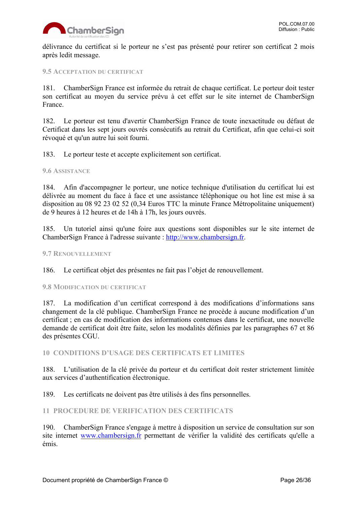

délivrance du certificat si le porteur ne s'est pas présenté pour retirer son certificat 2 mois après ledit message.

#### <span id="page-25-0"></span>**9.5 ACCEPTATION DU CERTIFICAT**

181. ChamberSign France est informée du retrait de chaque certificat. Le porteur doit tester son certificat au moyen du service prévu à cet effet sur le site internet de ChamberSign France.

182. Le porteur est tenu d'avertir ChamberSign France de toute inexactitude ou défaut de Certificat dans les sept jours ouvrés consécutifs au retrait du Certificat, afin que celui-ci soit révoqué et qu'un autre lui soit fourni.

183. Le porteur teste et accepte explicitement son certificat.

#### <span id="page-25-1"></span>**9.6 ASSISTANCE**

184. Afin d'accompagner le porteur, une notice technique d'utilisation du certificat lui est délivrée au moment du face à face et une assistance téléphonique ou hot line est mise à sa disposition au 08 92 23 02 52 (0,34 Euros TTC la minute France Métropolitaine uniquement) de 9 heures à 12 heures et de 14h à 17h, les jours ouvrés.

185. Un tutoriel ainsi qu'une foire aux questions sont disponibles sur le site internet de ChamberSign France à l'adresse suivante : [http://www.chambersign.fr.](http://www.chambersign.fr/)

#### <span id="page-25-2"></span>**9.7 RENOUVELLEMENT**

186. Le certificat objet des présentes ne fait pas l'objet de renouvellement.

#### <span id="page-25-3"></span>**9.8 MODIFICATION DU CERTIFICAT**

187. La modification d'un certificat correspond à des modifications d'informations sans changement de la clé publique. ChamberSign France ne procède à aucune modification d'un certificat ; en cas de modification des informations contenues dans le certificat, une nouvelle demande de certificat doit être faite, selon les modalités définies par les paragraphes 67 et 86 des présentes CGU.

<span id="page-25-4"></span>**10 CONDITIONS D'USAGE DES CERTIFICATS ET LIMITES**

188. L'utilisation de la clé privée du porteur et du certificat doit rester strictement limitée aux services d'authentification électronique.

189. Les certificats ne doivent pas être utilisés à des fins personnelles.

#### <span id="page-25-5"></span>**11 PROCEDURE DE VERIFICATION DES CERTIFICATS**

190. ChamberSign France s'engage à mettre à disposition un service de consultation sur son site internet [www.chambersign.fr](http://www.chambersign.fr/) permettant de vérifier la validité des certificats qu'elle a émis.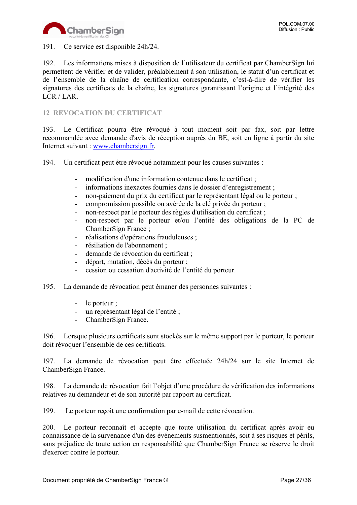

191. Ce service est disponible 24h/24.

192. Les informations mises à disposition de l'utilisateur du certificat par ChamberSign lui permettent de vérifier et de valider, préalablement à son utilisation, le statut d'un certificat et de l'ensemble de la chaîne de certification correspondante, c'est-à-dire de vérifier les signatures des certificats de la chaîne, les signatures garantissant l'origine et l'intégrité des LCR / LAR.

# <span id="page-26-0"></span>**12 REVOCATION DU CERTIFICAT**

193. Le Certificat pourra être révoqué à tout moment soit par fax, soit par lettre recommandée avec demande d'avis de réception auprès du BE, soit en ligne à partir du site Internet suivant : [www.chambersign.fr.](http://www.chambersign.fr/)

194. Un certificat peut être révoqué notamment pour les causes suivantes :

- modification d'une information contenue dans le certificat;
- informations inexactes fournies dans le dossier d'enregistrement ;
- non-paiement du prix du certificat par le représentant légal ou le porteur ;
- compromission possible ou avérée de la clé privée du porteur ;
- non-respect par le porteur des règles d'utilisation du certificat ;
- non-respect par le porteur et/ou l'entité des obligations de la PC de ChamberSign France ;
- réalisations d'opérations frauduleuses ;
- résiliation de l'abonnement ;
- demande de révocation du certificat ;
- départ, mutation, décès du porteur ;
- cession ou cessation d'activité de l'entité du porteur.
- 195. La demande de révocation peut émaner des personnes suivantes :
	- le porteur ;
	- un représentant légal de l'entité ;
	- ChamberSign France.

196. Lorsque plusieurs certificats sont stockés sur le même support par le porteur, le porteur doit révoquer l'ensemble de ces certificats.

197. La demande de révocation peut être effectuée 24h/24 sur le site Internet de ChamberSign France.

198. La demande de révocation fait l'objet d'une procédure de vérification des informations relatives au demandeur et de son autorité par rapport au certificat.

199. Le porteur reçoit une confirmation par e-mail de cette révocation.

200. Le porteur reconnaît et accepte que toute utilisation du certificat après avoir eu connaissance de la survenance d'un des événements susmentionnés, soit à ses risques et périls, sans préjudice de toute action en responsabilité que ChamberSign France se réserve le droit d'exercer contre le porteur.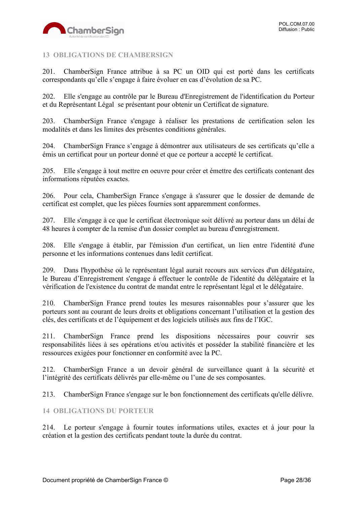

# <span id="page-27-0"></span>**13 OBLIGATIONS DE CHAMBERSIGN**

201. ChamberSign France attribue à sa PC un OID qui est porté dans les certificats correspondants qu'elle s'engage à faire évoluer en cas d'évolution de sa PC.

202. Elle s'engage au contrôle par le Bureau d'Enregistrement de l'identification du Porteur et du Représentant Légal se présentant pour obtenir un Certificat de signature.

203. ChamberSign France s'engage à réaliser les prestations de certification selon les modalités et dans les limites des présentes conditions générales.

204. ChamberSign France s'engage à démontrer aux utilisateurs de ses certificats qu'elle a émis un certificat pour un porteur donné et que ce porteur a accepté le certificat.

205. Elle s'engage à tout mettre en oeuvre pour créer et émettre des certificats contenant des informations réputées exactes.

206. Pour cela, ChamberSign France s'engage à s'assurer que le dossier de demande de certificat est complet, que les pièces fournies sont apparemment conformes.

207. Elle s'engage à ce que le certificat électronique soit délivré au porteur dans un délai de 48 heures à compter de la remise d'un dossier complet au bureau d'enregistrement.

208. Elle s'engage à établir, par l'émission d'un certificat, un lien entre l'identité d'une personne et les informations contenues dans ledit certificat.

209. Dans l'hypothèse où le représentant légal aurait recours aux services d'un délégataire, le Bureau d'Enregistrement s'engage à effectuer le contrôle de l'identité du délégataire et la vérification de l'existence du contrat de mandat entre le représentant légal et le délégataire.

210. ChamberSign France prend toutes les mesures raisonnables pour s'assurer que les porteurs sont au courant de leurs droits et obligations concernant l'utilisation et la gestion des clés, des certificats et de l'équipement et des logiciels utilisés aux fins de l'IGC.

211. ChamberSign France prend les dispositions nécessaires pour couvrir ses responsabilités liées à ses opérations et/ou activités et posséder la stabilité financière et les ressources exigées pour fonctionner en conformité avec la PC.

212. ChamberSign France a un devoir général de surveillance quant à la sécurité et l'intégrité des certificats délivrés par elle-même ou l'une de ses composantes.

213. ChamberSign France s'engage sur le bon fonctionnement des certificats qu'elle délivre.

<span id="page-27-1"></span>**14 OBLIGATIONS DU PORTEUR**

214. Le porteur s'engage à fournir toutes informations utiles, exactes et à jour pour la création et la gestion des certificats pendant toute la durée du contrat.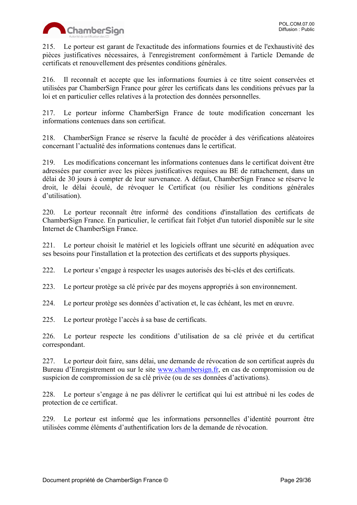

215. Le porteur est garant de l'exactitude des informations fournies et de l'exhaustivité des pièces justificatives nécessaires, à l'enregistrement conformément à l'article Demande de certificats et renouvellement des présentes conditions générales.

216. Il reconnaît et accepte que les informations fournies à ce titre soient conservées et utilisées par ChamberSign France pour gérer les certificats dans les conditions prévues par la loi et en particulier celles relatives à la protection des données personnelles.

217. Le porteur informe ChamberSign France de toute modification concernant les informations contenues dans son certificat.

218. ChamberSign France se réserve la faculté de procéder à des vérifications aléatoires concernant l'actualité des informations contenues dans le certificat.

219. Les modifications concernant les informations contenues dans le certificat doivent être adressées par courrier avec les pièces justificatives requises au BE de rattachement, dans un délai de 30 jours à compter de leur survenance. A défaut, ChamberSign France se réserve le droit, le délai écoulé, de révoquer le Certificat (ou résilier les conditions générales d'utilisation).

220. Le porteur reconnaît être informé des conditions d'installation des certificats de ChamberSign France. En particulier, le certificat fait l'objet d'un tutoriel disponible sur le site Internet de ChamberSign France.

221. Le porteur choisit le matériel et les logiciels offrant une sécurité en adéquation avec ses besoins pour l'installation et la protection des certificats et des supports physiques.

222. Le porteur s'engage à respecter les usages autorisés des bi-clés et des certificats.

223. Le porteur protège sa clé privée par des moyens appropriés à son environnement.

224. Le porteur protège ses données d'activation et, le cas échéant, les met en œuvre.

225. Le porteur protège l'accès à sa base de certificats.

226. Le porteur respecte les conditions d'utilisation de sa clé privée et du certificat correspondant.

227. Le porteur doit faire, sans délai, une demande de révocation de son certificat auprès du Bureau d'Enregistrement ou sur le site [www.chambersign.fr,](http://www.chambersign.fr/) en cas de compromission ou de suspicion de compromission de sa clé privée (ou de ses données d'activations).

228. Le porteur s'engage à ne pas délivrer le certificat qui lui est attribué ni les codes de protection de ce certificat.

229. Le porteur est informé que les informations personnelles d'identité pourront être utilisées comme éléments d'authentification lors de la demande de révocation.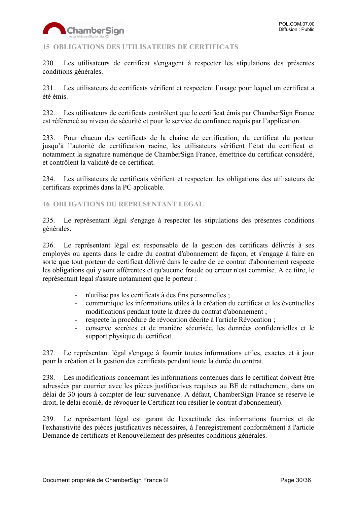

# <span id="page-29-0"></span>**15 OBLIGATIONS DES UTILISATEURS DE CERTIFICATS**

230. Les utilisateurs de certificat s'engagent à respecter les stipulations des présentes conditions générales.

231. Les utilisateurs de certificats vérifient et respectent l'usage pour lequel un certificat a été émis.

232. Les utilisateurs de certificats contrôlent que le certificat émis par ChamberSign France est référencé au niveau de sécurité et pour le service de confiance requis par l'application.

233. Pour chacun des certificats de la chaîne de certification, du certificat du porteur jusqu'à l'autorité de certification racine, les utilisateurs vérifient l'état du certificat et notamment la signature numérique de ChamberSign France, émettrice du certificat considéré, et contrôlent la validité de ce certificat.

234. Les utilisateurs de certificats vérifient et respectent les obligations des utilisateurs de certificats exprimés dans la PC applicable.

<span id="page-29-1"></span>**16 OBLIGATIONS DU REPRESENTANT LEGAL**

235. Le représentant légal s'engage à respecter les stipulations des présentes conditions générales.

236. Le représentant légal est responsable de la gestion des certificats délivrés à ses employés ou agents dans le cadre du contrat d'abonnement de façon, et s'engage à faire en sorte que tout porteur de certificat délivré dans le cadre de ce contrat d'abonnement respecte les obligations qui y sont afférentes et qu'aucune fraude ou erreur n'est commise. A ce titre, le représentant légal s'assure notamment que le porteur :

- n'utilise pas les certificats à des fins personnelles ;
- communique les informations utiles à la création du certificat et les éventuelles modifications pendant toute la durée du contrat d'abonnement ;
- respecte la procédure de révocation décrite à l'article Révocation ;
- conserve secrètes et de manière sécurisée, les données confidentielles et le support physique du certificat.

237. Le représentant légal s'engage à fournir toutes informations utiles, exactes et à jour pour la création et la gestion des certificats pendant toute la durée du contrat.

238. Les modifications concernant les informations contenues dans le certificat doivent être adressées par courrier avec les pièces justificatives requises au BE de rattachement, dans un délai de 30 jours à compter de leur survenance. A défaut, ChamberSign France se réserve le droit, le délai écoulé, de révoquer le Certificat (ou résilier le contrat d'abonnement).

239. Le représentant légal est garant de l'exactitude des informations fournies et de l'exhaustivité des pièces justificatives nécessaires, à l'enregistrement conformément à l'article Demande de certificats et Renouvellement des présentes conditions générales.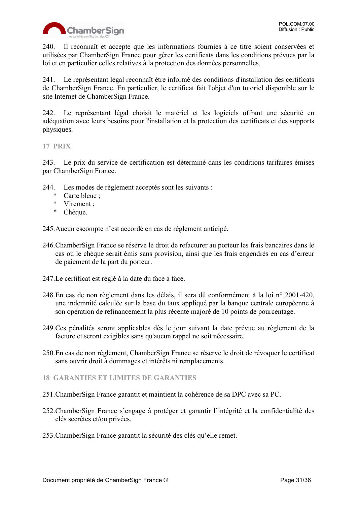

240. Il reconnaît et accepte que les informations fournies à ce titre soient conservées et utilisées par ChamberSign France pour gérer les certificats dans les conditions prévues par la loi et en particulier celles relatives à la protection des données personnelles.

241. Le représentant légal reconnaît être informé des conditions d'installation des certificats de ChamberSign France. En particulier, le certificat fait l'objet d'un tutoriel disponible sur le site Internet de ChamberSign France.

242. Le représentant légal choisit le matériel et les logiciels offrant une sécurité en adéquation avec leurs besoins pour l'installation et la protection des certificats et des supports physiques.

#### <span id="page-30-0"></span>**17 PRIX**

243. Le prix du service de certification est déterminé dans les conditions tarifaires émises par ChamberSign France.

- 244. Les modes de règlement acceptés sont les suivants :
	- \* Carte bleue ;
	- \* Virement ;
	- \* Chèque.

245.Aucun escompte n'est accordé en cas de règlement anticipé.

- 246.ChamberSign France se réserve le droit de refacturer au porteur les frais bancaires dans le cas où le chèque serait émis sans provision, ainsi que les frais engendrés en cas d'erreur de paiement de la part du porteur.
- 247.Le certificat est réglé à la date du face à face.
- 248.En cas de non règlement dans les délais, il sera dû conformément à la loi n° 2001-420, une indemnité calculée sur la base du taux appliqué par la banque centrale européenne à son opération de refinancement la plus récente majoré de 10 points de pourcentage.
- 249.Ces pénalités seront applicables dès le jour suivant la date prévue au règlement de la facture et seront exigibles sans qu'aucun rappel ne soit nécessaire.
- 250.En cas de non règlement, ChamberSign France se réserve le droit de révoquer le certificat sans ouvrir droit à dommages et intérêts ni remplacements.
- <span id="page-30-1"></span>**18 GARANTIES ET LIMITES DE GARANTIES**
- 251.ChamberSign France garantit et maintient la cohérence de sa DPC avec sa PC.
- 252.ChamberSign France s'engage à protéger et garantir l'intégrité et la confidentialité des clés secrètes et/ou privées.
- 253.ChamberSign France garantit la sécurité des clés qu'elle remet.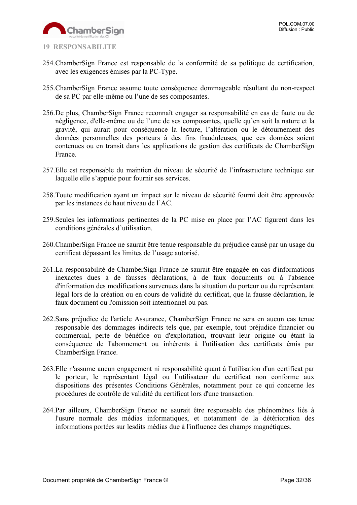

- <span id="page-31-0"></span>
- 254.ChamberSign France est responsable de la conformité de sa politique de certification, avec les exigences émises par la PC-Type.
- 255.ChamberSign France assume toute conséquence dommageable résultant du non-respect de sa PC par elle-même ou l'une de ses composantes.
- 256.De plus, ChamberSign France reconnaît engager sa responsabilité en cas de faute ou de négligence, d'elle-même ou de l'une de ses composantes, quelle qu'en soit la nature et la gravité, qui aurait pour conséquence la lecture, l'altération ou le détournement des données personnelles des porteurs à des fins frauduleuses, que ces données soient contenues ou en transit dans les applications de gestion des certificats de ChamberSign France.
- 257.Elle est responsable du maintien du niveau de sécurité de l'infrastructure technique sur laquelle elle s'appuie pour fournir ses services.
- 258.Toute modification ayant un impact sur le niveau de sécurité fourni doit être approuvée par les instances de haut niveau de l'AC.
- 259.Seules les informations pertinentes de la PC mise en place par l'AC figurent dans les conditions générales d'utilisation.
- 260.ChamberSign France ne saurait être tenue responsable du préjudice causé par un usage du certificat dépassant les limites de l'usage autorisé.
- 261.La responsabilité de ChamberSign France ne saurait être engagée en cas d'informations inexactes dues à de fausses déclarations, à de faux documents ou à l'absence d'information des modifications survenues dans la situation du porteur ou du représentant légal lors de la création ou en cours de validité du certificat, que la fausse déclaration, le faux document ou l'omission soit intentionnel ou pas.
- 262.Sans préjudice de l'article Assurance, ChamberSign France ne sera en aucun cas tenue responsable des dommages indirects tels que, par exemple, tout préjudice financier ou commercial, perte de bénéfice ou d'exploitation, trouvant leur origine ou étant la conséquence de l'abonnement ou inhérents à l'utilisation des certificats émis par ChamberSign France.
- 263.Elle n'assume aucun engagement ni responsabilité quant à l'utilisation d'un certificat par le porteur, le représentant légal ou l'utilisateur du certificat non conforme aux dispositions des présentes Conditions Générales, notamment pour ce qui concerne les procédures de contrôle de validité du certificat lors d'une transaction.
- 264.Par ailleurs, ChamberSign France ne saurait être responsable des phénomènes liés à l'usure normale des médias informatiques, et notamment de la détérioration des informations portées sur lesdits médias due à l'influence des champs magnétiques.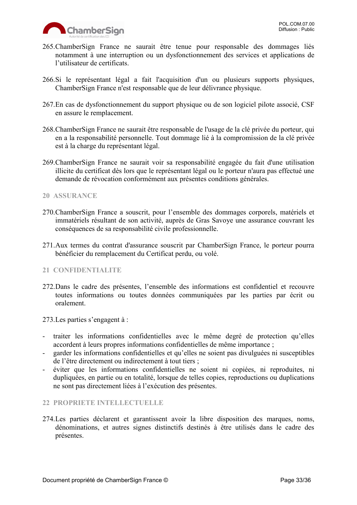

- 265.ChamberSign France ne saurait être tenue pour responsable des dommages liés notamment à une interruption ou un dysfonctionnement des services et applications de l'utilisateur de certificats.
- 266.Si le représentant légal a fait l'acquisition d'un ou plusieurs supports physiques, ChamberSign France n'est responsable que de leur délivrance physique.
- 267.En cas de dysfonctionnement du support physique ou de son logiciel pilote associé, CSF en assure le remplacement.
- 268.ChamberSign France ne saurait être responsable de l'usage de la clé privée du porteur, qui en a la responsabilité personnelle. Tout dommage lié à la compromission de la clé privée est à la charge du représentant légal.
- 269.ChamberSign France ne saurait voir sa responsabilité engagée du fait d'une utilisation illicite du certificat dès lors que le représentant légal ou le porteur n'aura pas effectué une demande de révocation conformément aux présentes conditions générales.

#### <span id="page-32-0"></span>**20 ASSURANCE**

- 270.ChamberSign France a souscrit, pour l'ensemble des dommages corporels, matériels et immatériels résultant de son activité, auprès de Gras Savoye une assurance couvrant les conséquences de sa responsabilité civile professionnelle.
- 271.Aux termes du contrat d'assurance souscrit par ChamberSign France, le porteur pourra bénéficier du remplacement du Certificat perdu, ou volé.

#### <span id="page-32-1"></span>**21 CONFIDENTIALITE**

272.Dans le cadre des présentes, l'ensemble des informations est confidentiel et recouvre toutes informations ou toutes données communiquées par les parties par écrit ou oralement.

273.Les parties s'engagent à :

- traiter les informations confidentielles avec le même degré de protection qu'elles accordent à leurs propres informations confidentielles de même importance ;
- garder les informations confidentielles et qu'elles ne soient pas divulguées ni susceptibles de l'être directement ou indirectement à tout tiers ;
- éviter que les informations confidentielles ne soient ni copiées, ni reproduites, ni dupliquées, en partie ou en totalité, lorsque de telles copies, reproductions ou duplications ne sont pas directement liées à l'exécution des présentes.

#### <span id="page-32-2"></span>**22 PROPRIETE INTELLECTUELLE**

274.Les parties déclarent et garantissent avoir la libre disposition des marques, noms, dénominations, et autres signes distinctifs destinés à être utilisés dans le cadre des présentes.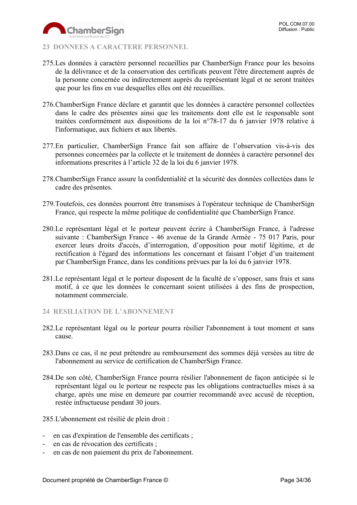

# <span id="page-33-0"></span>**23 DONNEES A CARACTERE PERSONNEL**

- 275.Les données à caractère personnel recueillies par ChamberSign France pour les besoins de la délivrance et de la conservation des certificats peuvent l'être directement auprès de la personne concernée ou indirectement auprès du représentant légal et ne seront traitées que pour les fins en vue desquelles elles ont été recueillies.
- 276.ChamberSign France déclare et garantit que les données à caractère personnel collectées dans le cadre des présentes ainsi que les traitements dont elle est le responsable sont traitées conformément aux dispositions de la loi n°78-17 du 6 janvier 1978 relative à l'informatique, aux fichiers et aux libertés.
- 277.En particulier, ChamberSign France fait son affaire de l'observation vis-à-vis des personnes concernées par la collecte et le traitement de données à caractère personnel des informations prescrites à l'article 32 de la loi du 6 janvier 1978.
- 278.ChamberSign France assure la confidentialité et la sécurité des données collectées dans le cadre des présentes.
- 279.Toutefois, ces données pourront être transmises à l'opérateur technique de ChamberSign France, qui respecte la même politique de confidentialité que ChamberSign France.
- 280.Le représentant légal et le porteur peuvent écrire à ChamberSign France, à l'adresse suivante : ChamberSign France - 46 avenue de la Grande Armée - 75 017 Paris, pour exercer leurs droits d'accès, d'interrogation, d'opposition pour motif légitime, et de rectification à l'égard des informations les concernant et faisant l'objet d'un traitement par ChamberSign France, dans les conditions prévues par la loi du 6 janvier 1978.
- 281.Le représentant légal et le porteur disposent de la faculté de s'opposer, sans frais et sans motif, à ce que les données le concernant soient utilisées à des fins de prospection, notamment commerciale.
- <span id="page-33-1"></span>**24 RESILIATION DE L'ABONNEMENT**
- 282.Le représentant légal ou le porteur pourra résilier l'abonnement à tout moment et sans cause.
- 283.Dans ce cas, il ne peut prétendre au remboursement des sommes déjà versées au titre de l'abonnement au service de certification de ChamberSign France.
- 284.De son côté, ChamberSign France pourra résilier l'abonnement de façon anticipée si le représentant légal ou le porteur ne respecte pas les obligations contractuelles mises à sa charge, après une mise en demeure par courrier recommandé avec accusé de réception, restée infructueuse pendant 30 jours.
- 285.L'abonnement est résilié de plein droit :
- en cas d'expiration de l'ensemble des certificats ;
- en cas de révocation des certificats ;
- en cas de non paiement du prix de l'abonnement.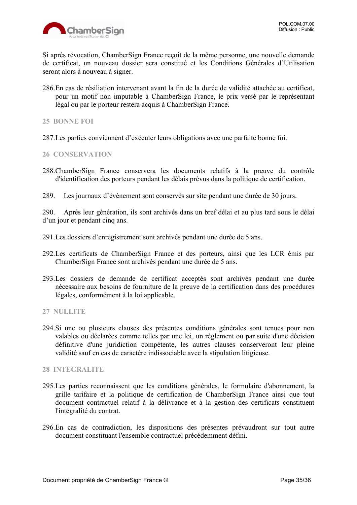

Si après révocation, ChamberSign France reçoit de la même personne, une nouvelle demande de certificat, un nouveau dossier sera constitué et les Conditions Générales d'Utilisation seront alors à nouveau à signer.

286.En cas de résiliation intervenant avant la fin de la durée de validité attachée au certificat, pour un motif non imputable à ChamberSign France, le prix versé par le représentant légal ou par le porteur restera acquis à ChamberSign France.

<span id="page-34-0"></span>**25 BONNE FOI**

287.Les parties conviennent d'exécuter leurs obligations avec une parfaite bonne foi.

#### <span id="page-34-1"></span>**26 CONSERVATION**

- 288.ChamberSign France conservera les documents relatifs à la preuve du contrôle d'identification des porteurs pendant les délais prévus dans la politique de certification.
- 289. Les journaux d'évènement sont conservés sur site pendant une durée de 30 jours.

290. Après leur génération, ils sont archivés dans un bref délai et au plus tard sous le délai d'un jour et pendant cinq ans.

- 291.Les dossiers d'enregistrement sont archivés pendant une durée de 5 ans.
- 292.Les certificats de ChamberSign France et des porteurs, ainsi que les LCR émis par ChamberSign France sont archivés pendant une durée de 5 ans.
- 293.Les dossiers de demande de certificat acceptés sont archivés pendant une durée nécessaire aux besoins de fourniture de la preuve de la certification dans des procédures légales, conformément à la loi applicable.

<span id="page-34-2"></span>**27 NULLITE**

294.Si une ou plusieurs clauses des présentes conditions générales sont tenues pour non valables ou déclarées comme telles par une loi, un règlement ou par suite d'une décision définitive d'une juridiction compétente, les autres clauses conserveront leur pleine validité sauf en cas de caractère indissociable avec la stipulation litigieuse.

<span id="page-34-3"></span>**28 INTEGRALITE**

- 295.Les parties reconnaissent que les conditions générales, le formulaire d'abonnement, la grille tarifaire et la politique de certification de ChamberSign France ainsi que tout document contractuel relatif à la délivrance et à la gestion des certificats constituent l'intégralité du contrat.
- 296.En cas de contradiction, les dispositions des présentes prévaudront sur tout autre document constituant l'ensemble contractuel précédemment défini.